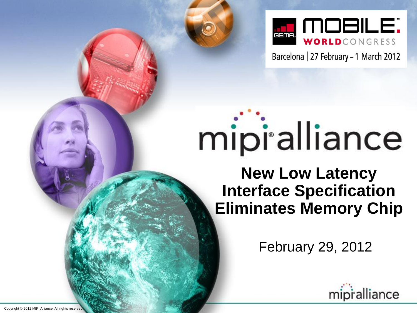

Barcelona | 27 February - 1 March 2012

# mipialliance

**New Low Latency Interface Specification Eliminates Memory Chip**

February 29, 2012

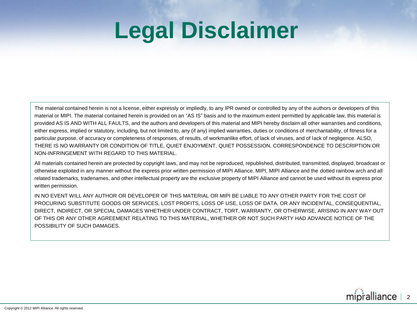#### **Legal Disclaimer**

The material contained herein is not a license, either expressly or impliedly, to any IPR owned or controlled by any of the authors or developers of this material or MIPI. The material contained herein is provided on an "AS IS" basis and to the maximum extent permitted by applicable law, this material is provided AS IS AND WITH ALL FAULTS, and the authors and developers of this material and MIPI hereby disclaim all other warranties and conditions, either express, implied or statutory, including, but not limited to, any (if any) implied warranties, duties or conditions of merchantability, of fitness for a particular purpose, of accuracy or completeness of responses, of results, of workmanlike effort, of lack of viruses, and of lack of negligence. ALSO, THERE IS NO WARRANTY OR CONDITION OF TITLE, QUIET ENJOYMENT, QUIET POSSESSION, CORRESPONDENCE TO DESCRIPTION OR NON-INFRINGEMENT WITH REGARD TO THIS MATERIAL.

All materials contained herein are protected by copyright laws, and may not be reproduced, republished, distributed, transmitted, displayed, broadcast or otherwise exploited in any manner without the express prior written permission of MIPI Alliance. MIPI, MIPI Alliance and the dotted rainbow arch and all related trademarks, tradenames, and other intellectual property are the exclusive property of MIPI Alliance and cannot be used without its express prior written permission.

IN NO EVENT WILL ANY AUTHOR OR DEVELOPER OF THIS MATERIAL OR MIPI BE LIABLE TO ANY OTHER PARTY FOR THE COST OF PROCURING SUBSTITUTE GOODS OR SERVICES, LOST PROFITS, LOSS OF USE, LOSS OF DATA, OR ANY INCIDENTAL, CONSEQUENTIAL, DIRECT, INDIRECT, OR SPECIAL DAMAGES WHETHER UNDER CONTRACT, TORT, WARRANTY, OR OTHERWISE, ARISING IN ANY WAY OUT OF THIS OR ANY OTHER AGREEMENT RELATING TO THIS MATERIAL, WHETHER OR NOT SUCH PARTY HAD ADVANCE NOTICE OF THE POSSIBILITY OF SUCH DAMAGES.

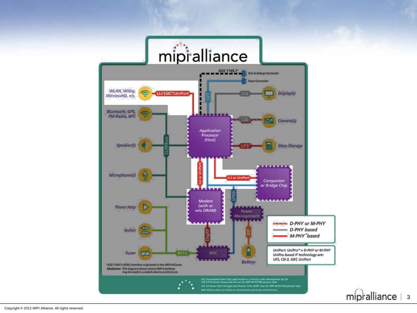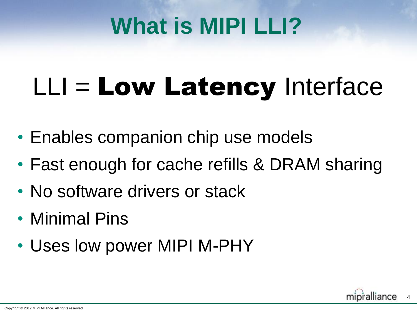## **What is MIPI LLI?**

## $LLI = Low Latency$  Interface

- Enables companion chip use models
- Fast enough for cache refills & DRAM sharing
- No software drivers or stack
- Minimal Pins
- Uses low power MIPI M-PHY

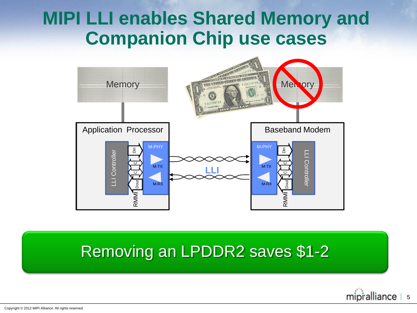#### **MIPI LLI enables Shared Memory and Companion Chip use cases**



#### Removing an LPDDR2 saves \$1-2

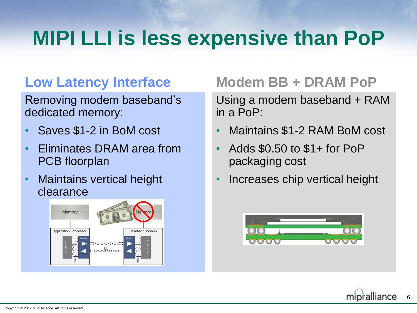#### **MIPI LLI is less expensive than PoP**

#### **Low Latency Interface**

Removing modem baseband's dedicated memory:

- Saves \$1-2 in BoM cost
- Eliminates DRAM area from PCB floorplan
- Maintains vertical height clearance



#### **Modem BB + DRAM PoP**

Using a modem baseband + RAM in a PoP:

- Maintains \$1-2 RAM BoM cost
- Adds \$0.50 to \$1+ for PoP packaging cost
- Increases chip vertical height



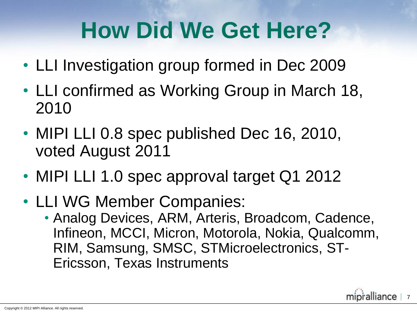### **How Did We Get Here?**

- LLI Investigation group formed in Dec 2009
- LLI confirmed as Working Group in March 18, 2010
- MIPI LLI 0.8 spec published Dec 16, 2010, voted August 2011
- MIPI LLI 1.0 spec approval target Q1 2012
- LLI WG Member Companies:
	- Analog Devices, ARM, Arteris, Broadcom, Cadence, Infineon, MCCI, Micron, Motorola, Nokia, Qualcomm, RIM, Samsung, SMSC, STMicroelectronics, ST-Ericsson, Texas Instruments

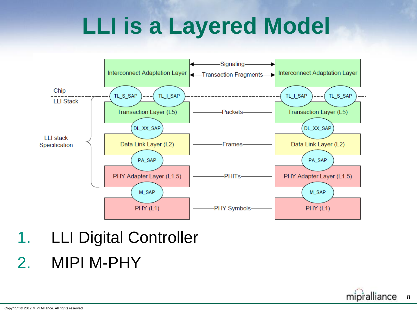### **LLI is a Layered Model**



1. LLI Digital Controller 2. MIPI M-PHY

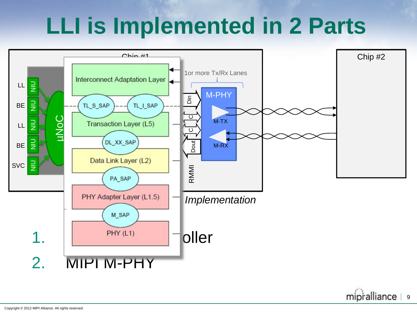## **LLI is Implemented in 2 Parts**



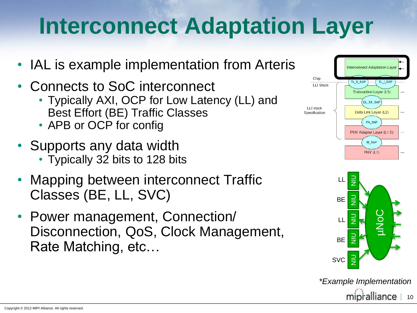#### **Interconnect Adaptation Layer**

- IAL is example implementation from Arteris
- Connects to SoC interconnect
	- Typically AXI, OCP for Low Latency (LL) and Best Effort (BE) Traffic Classes
	- APB or OCP for config
- Supports any data width • Typically 32 bits to 128 bits
- Mapping between interconnect Traffic Classes (BE, LL, SVC)
- Power management, Connection/ Disconnection, QoS, Clock Management, Rate Matching, etc…





mipi alliance | 10 *\*Example Implementation*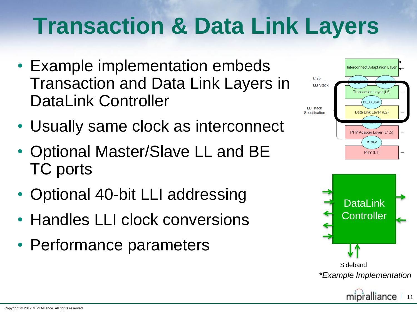## **Transaction & Data Link Layers**

- Example implementation embeds Transaction and Data Link Layers in DataLink Controller
- Usually same clock as interconnect
- Optional Master/Slave LL and BE TC ports
- Optional 40-bit LLI addressing
- Handles LLI clock conversions
- Performance parameters



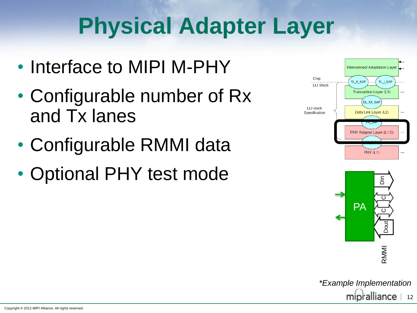## **Physical Adapter Layer**

- Interface to MIPI M-PHY
- Configurable number of Rx and Tx lanes
- Configurable RMMI data
- Optional PHY test mode





*\*Example Implementation*mipi alliance  $12$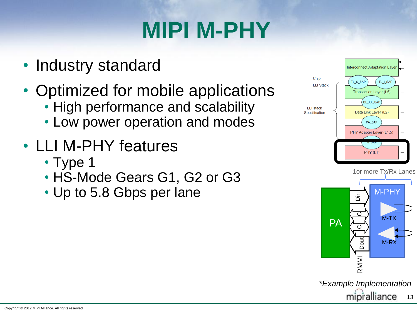## **MIPI M-PHY**

- Industry standard
- Optimized for mobile applications
	- High performance and scalability
	- Low power operation and modes
- LLI M-PHY features
	- Type 1
	- HS-Mode Gears G1, G2 or G3
	- Up to 5.8 Gbps per lane  $\blacksquare$   $\blacksquare$   $\blacksquare$   $\blacksquare$   $\blacksquare$   $\blacksquare$   $\blacksquare$   $\blacksquare$   $\blacksquare$   $\blacksquare$   $\blacksquare$   $\blacksquare$   $\blacksquare$   $\blacksquare$   $\blacksquare$   $\blacksquare$   $\blacksquare$   $\blacksquare$   $\blacksquare$   $\blacksquare$   $\blacksquare$   $\blacksquare$   $\blacksquare$   $\blacksquare$   $\blacksquare$   $\blacksquare$   $\blacksquare$   $\blacksquare$



1or more Tx/Rx Lanes

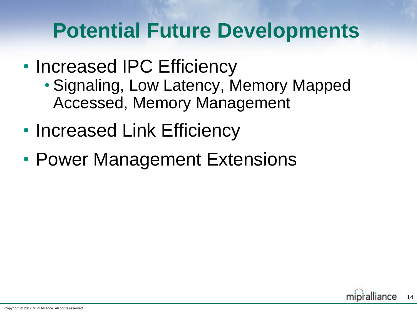#### **Potential Future Developments**

- Increased IPC Efficiency
	- Signaling, Low Latency, Memory Mapped Accessed, Memory Management
- Increased Link Efficiency
- Power Management Extensions